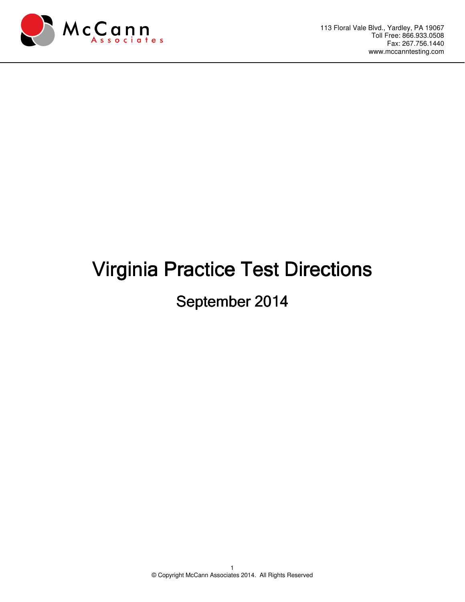

## Virginia Practice Test Directions

## September 2014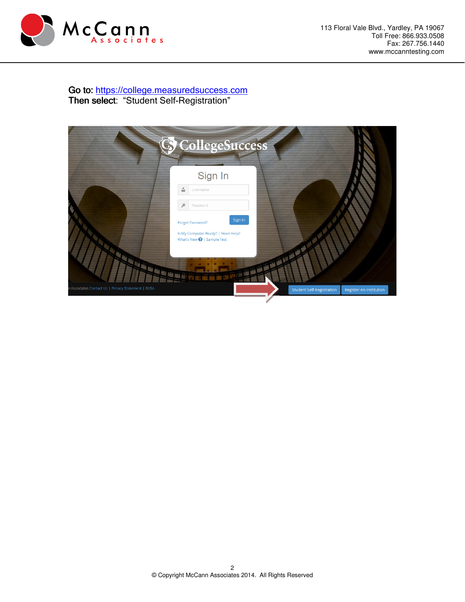

Go to: https://college.measuredsuccess.com Then select: "Student Self-Registration"

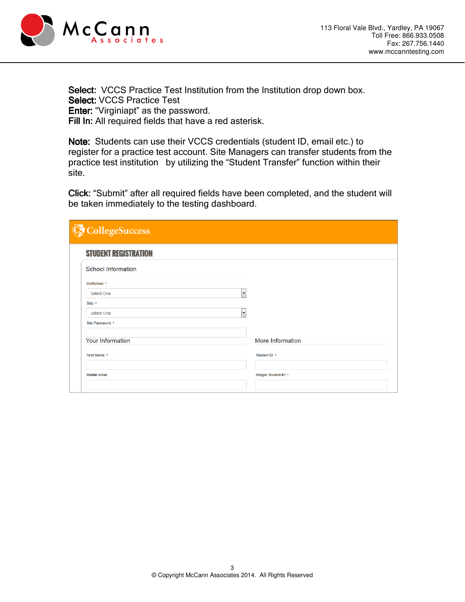

Select: VCCS Practice Test Institution from the Institution drop down box. Select: VCCS Practice Test Enter: "Virginiapt" as the password. Fill In: All required fields that have a red asterisk.

Note: Students can use their VCCS credentials (student ID, email etc.) to register for a practice test account. Site Managers can transfer students from the practice test institution by utilizing the "Student Transfer" function within their site.

Click: "Submit" after all required fields have been completed, and the student will be taken immediately to the testing dashboard.

| C CollegeSuccess                          |                      |
|-------------------------------------------|----------------------|
| <b>STUDENT REGISTRATION</b>               |                      |
| School Information                        |                      |
| Institution: *                            |                      |
| $\blacktriangledown$<br><b>Select One</b> |                      |
| Site: *                                   |                      |
| $\blacktriangledown$<br><b>Select One</b> |                      |
| Site Password: *                          |                      |
|                                           |                      |
| <b>Your Information</b>                   | More Information     |
| <b>First Name: *</b>                      | Student ID: *        |
|                                           |                      |
| <b>Middle Initial</b>                     | Retype Student ID: * |
|                                           |                      |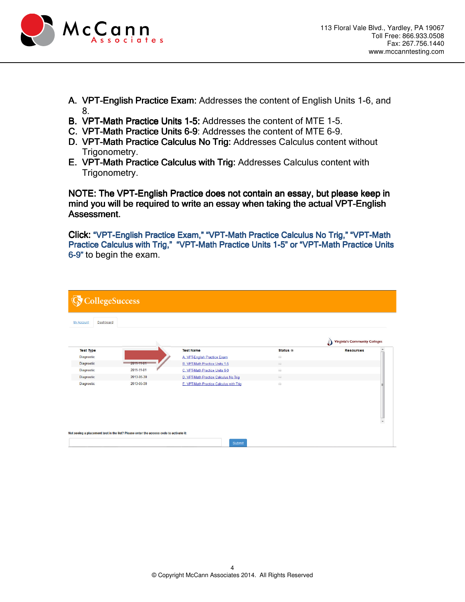

- A. VPT-English Practice Exam: Addresses the content of English Units 1-6, and 8.
- B. VPT-Math Practice Units 1-5: Addresses the content of MTE 1-5.
- C. VPT-Math Practice Units 6-9: Addresses the content of MTE 6-9.
- D. VPT-Math Practice Calculus No Trig: Addresses Calculus content without Trigonometry.
- E. VPT-Math Practice Calculus with Trig: Addresses Calculus content with Trigonometry.

NOTE: The VPT-English Practice does not contain an essay, but please keep in mind you will be required to write an essay when taking the actual VPT-English Assessment. Assessment.

Click: "VPT-English Practice Exam," "VPT-Math Practice Calculus No Trig," "VPT-Math Practice Calculus with Trig," "VPT-Math Practice Units 1-5" or "VPT-Math Practice Units 6-9" to begin the exam.

| <b>C</b> CollegeSuccess |                                                                                       |                                         |                                                                      |                                      |
|-------------------------|---------------------------------------------------------------------------------------|-----------------------------------------|----------------------------------------------------------------------|--------------------------------------|
| My Account<br>Dashboard |                                                                                       |                                         |                                                                      |                                      |
|                         |                                                                                       |                                         |                                                                      | <b>Virginia's Community Colleges</b> |
| <b>Test Type</b>        |                                                                                       | <b>Test Name</b>                        | Status @                                                             | $\blacktriangle$<br><b>Resources</b> |
| Diagnostic              |                                                                                       | A. VPT-English Practice Exam            | $\odot$                                                              |                                      |
| Diagnostic              | $2011 - 11 - 01$                                                                      | <b>B. VPT-Math Practice Units 1-5</b>   | $\qquad \qquad \text{ } \qquad \qquad \text{ } \qquad \text{ } \Box$ |                                      |
| Diagnostic              | 2011-11-01                                                                            | C. VPT-Math Practice Units 6-9          | $\widehat{\omega_2}$                                                 |                                      |
| Diagnostic              | 2013-05-30                                                                            | D. VPT-Math Practice Calculus No Trig   | $\odot$                                                              |                                      |
| Diagnostic              | 2013-05-30                                                                            | E. VPT-Math Practice Calculus with Trig | $\widehat{\omega}$                                                   | $\overline{\phantom{a}}$             |
|                         | Not seeing a placement test in the list? Please enter the access code to activate it: | Submit                                  |                                                                      |                                      |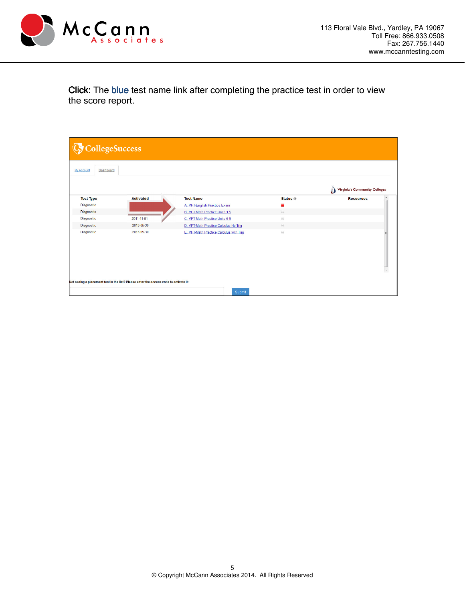

Click: The blue test name link after completing the practice test in order to view the score report.

| <b>G</b> CollegeSuccess        |                                                                                       |                                         |           |                                           |
|--------------------------------|---------------------------------------------------------------------------------------|-----------------------------------------|-----------|-------------------------------------------|
| <b>My Account</b><br>Dashboard |                                                                                       |                                         |           |                                           |
|                                |                                                                                       |                                         |           | Δ<br><b>Virginia's Community Colleges</b> |
| <b>Test Type</b>               | <b>Activated</b>                                                                      | <b>Test Name</b>                        | Status @  | $\blacktriangle$<br><b>Resources</b>      |
| Diagnostic                     |                                                                                       | A. VPT-English Practice Exam            |           |                                           |
| Diagnostic                     |                                                                                       | <b>B. VPT-Math Practice Units 1-5</b>   | $\ominus$ |                                           |
| Diagnostic                     | 2011-11-01                                                                            | C. VPT-Math Practice Units 6-9          | $\odot$   |                                           |
| Diagnostic                     | 2013-05-30                                                                            | D. VPT-Math Practice Calculus No Trig   | $\odot$   |                                           |
| Diagnostic                     | 2013-05-30                                                                            | E. VPT-Math Practice Calculus with Trig | $\omega$  | ÷                                         |
|                                | Not seeing a placement test in the list? Please enter the access code to activate it: | Submit                                  |           |                                           |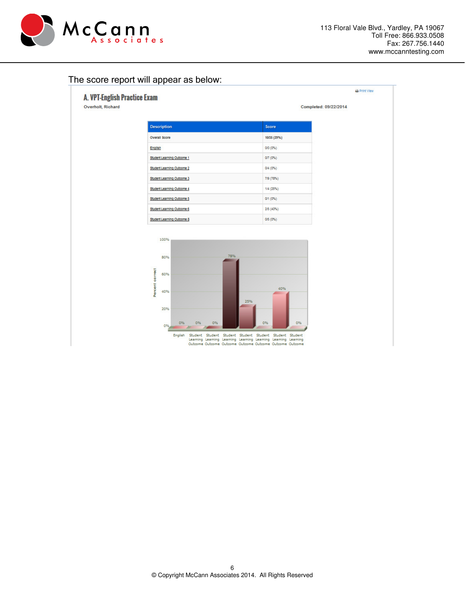

## The score report will appear as below:

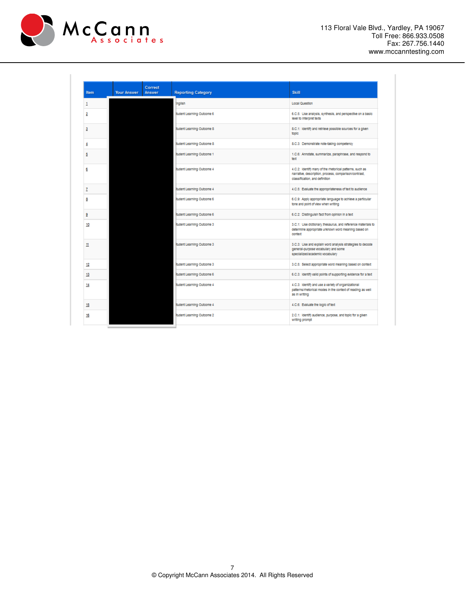

| Item | <b>Your Answer</b> | Correct<br>Answer | <b>Reporting Category</b>  | <b>Skill</b>                                                                                                                                        |
|------|--------------------|-------------------|----------------------------|-----------------------------------------------------------------------------------------------------------------------------------------------------|
| 1    |                    |                   | inglish                    | Local Question                                                                                                                                      |
| 2    |                    |                   | student Learning Outcome 6 | 6.C.S: Use analysis, synthesis, and perspective on a basic<br>level to Interpret texts                                                              |
| з    |                    |                   | student Learning Outcome 8 | 8.C.1: Identify and retrieve possible sources for a given<br>topic                                                                                  |
| 4    |                    |                   | student Learning Outcome 8 | 8.C.3: Demonstrate note-taking competency                                                                                                           |
| 5    |                    |                   | student Learning Outcome 1 | 1.C.6: Annotate, summarize, paraphrase, and respond to<br>text                                                                                      |
| 6    |                    |                   | student Learning Outcome 4 | 4.C.2: Identify many of the rhetorical patterns, such as<br>narrative, description, process, comparison/contrast,<br>classification, and definition |
| z    |                    |                   | student Learning Outcome 4 | 4.C.5: Evaluate the appropriateness of text to audience                                                                                             |
| 8    |                    |                   | student Learning Outcome 6 | 6.C.9: Apply appropriate language to achieve a particular<br>tone and point of view when writing                                                    |
| 9    |                    |                   | student Learning Outcome 6 | 6.C.2: Distinguish fact from opinion in a text                                                                                                      |
| 10   |                    |                   | student Learning Outcome 3 | 3.C.1: Use dictionary, thesaurus, and reference materials to<br>determine appropriate unknown word meaning based on<br>context                      |
| 11   |                    |                   | student Learning Outcome 3 | 3.C.3: Use and explain word analysis strategies to decode<br>general-purpose vocabulary and some<br>specialized/academic vocabulary                 |
| 12   |                    |                   | student Learning Outcome 3 | 3.C.5: Select appropriate word meaning based on context                                                                                             |
| 13   |                    |                   | student Learning Outcome 6 | 6.C.3: Identify valid points of supporting evidence for a text                                                                                      |
| 14   |                    |                   | student Learning Outcome 4 | 4.C.3: Identify and use a variety of organizational<br>patterns/rhetorical modes in the context of reading as well<br>as in writing                 |
| 15   |                    |                   | student Learning Outcome 4 | 4.C.6: Evaluate the logic of text                                                                                                                   |
| 16   |                    |                   | student Learning Outcome 2 | 2.C.1: Identify audience, purpose, and topic for a given<br>writing prompt                                                                          |